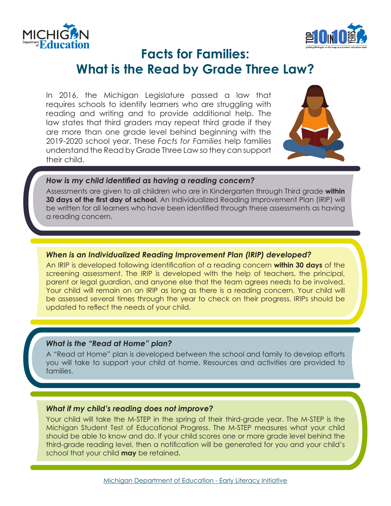



# **Facts for Families: What is the Read by Grade Three Law?**

In 2016, the Michigan Legislature passed a law that requires schools to identify learners who are struggling with reading and writing and to provide additional help. The law states that third graders may repeat third grade if they are more than one grade level behind beginning with the 2019-2020 school year. These *Facts for Families* help families understand the Read by Grade Three Law so they can support their child.



#### *How is my child identified as having a reading concern?*

Assessments are given to all children who are in Kindergarten through Third grade **within 30 days of the first day of school**. An Individualized Reading Improvement Plan (IRIP) will be written for all learners who have been identified through these assessments as having a reading concern.

# *When is an Individualized Reading Improvement Plan (IRIP) developed?*

An IRIP is developed following identification of a reading concern **within 30 days** of the screening assessment. The IRIP is developed with the help of teachers, the principal, parent or legal guardian, and anyone else that the team agrees needs to be involved. Your child will remain on an IRIP as long as there is a reading concern. Your child will be assessed several times through the year to check on their progress. IRIPs should be updated to reflect the needs of your child.

# *What is the "Read at Home" plan?*

A "Read at Home" plan is developed between the school and family to develop efforts you will take to support your child at home. Resources and activities are provided to families.

# *What if my child's reading does not improve?*

Your child will take the M-STEP in the spring of their third-grade year. The M-STEP is the Michigan Student Test of Educational Progress. The M-STEP measures what your child should be able to know and do. If your child scores one or more grade level behind the third-grade reading level, then a notification will be generated for you and your child's school that your child **may** be retained.